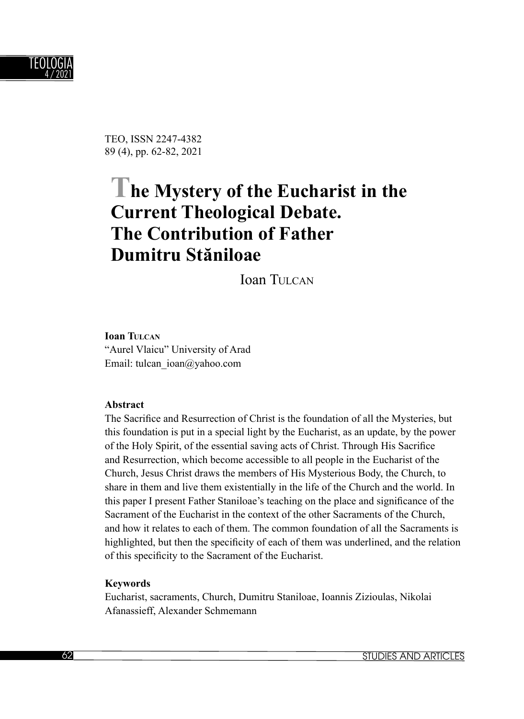

TEO, ISSN 2247-4382 89 (4), pp. 62-82, 2021

# **The Mystery of the Eucharist in the Current Theological Debate. The Contribution of Father Dumitru Stăniloae**

Ioan THICAN

**Ioan TULCAN** "Aurel Vlaicu" University of Arad Email: tulcan\_ioan@yahoo.com

#### **Abstract**

The Sacrifice and Resurrection of Christ is the foundation of all the Mysteries, but this foundation is put in a special light by the Eucharist, as an update, by the power of the Holy Spirit, of the essential saving acts of Christ. Through His Sacrifice and Resurrection, which become accessible to all people in the Eucharist of the Church, Jesus Christ draws the members of His Mysterious Body, the Church, to share in them and live them existentially in the life of the Church and the world. In this paper I present Father Staniloae's teaching on the place and significance of the Sacrament of the Eucharist in the context of the other Sacraments of the Church, and how it relates to each of them. The common foundation of all the Sacraments is highlighted, but then the specificity of each of them was underlined, and the relation of this specificity to the Sacrament of the Eucharist.

#### **Keywords**

Eucharist, sacraments, Church, Dumitru Staniloae, Ioannis Zizioulas, Nikolai Afanassieff, Alexander Schmemann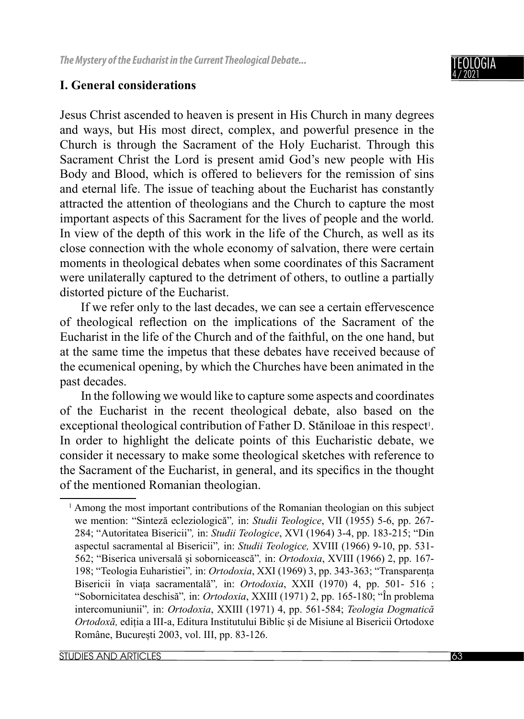

### **I. General considerations**

Jesus Christ ascended to heaven is present in His Church in many degrees and ways, but His most direct, complex, and powerful presence in the Church is through the Sacrament of the Holy Eucharist. Through this Sacrament Christ the Lord is present amid God's new people with His Body and Blood, which is offered to believers for the remission of sins and eternal life. The issue of teaching about the Eucharist has constantly attracted the attention of theologians and the Church to capture the most important aspects of this Sacrament for the lives of people and the world. In view of the depth of this work in the life of the Church, as well as its close connection with the whole economy of salvation, there were certain moments in theological debates when some coordinates of this Sacrament were unilaterally captured to the detriment of others, to outline a partially distorted picture of the Eucharist.

If we refer only to the last decades, we can see a certain effervescence of theological reflection on the implications of the Sacrament of the Eucharist in the life of the Church and of the faithful, on the one hand, but at the same time the impetus that these debates have received because of the ecumenical opening, by which the Churches have been animated in the past decades.

In the following we would like to capture some aspects and coordinates of the Eucharist in the recent theological debate, also based on the exceptional theological contribution of Father D. Stăniloae in this respect<sup>1</sup>. In order to highlight the delicate points of this Eucharistic debate, we consider it necessary to make some theological sketches with reference to the Sacrament of the Eucharist, in general, and its specifics in the thought of the mentioned Romanian theologian.

<sup>&</sup>lt;sup>1</sup> Among the most important contributions of the Romanian theologian on this subject we mention: "Sinteză ecleziologică"*,* in: *Studii Teologice*, VII (1955) 5-6, pp. 267- 284; "Autoritatea Bisericii"*,* in: *Studii Teologice*, XVI (1964) 3-4, pp. 183-215; "Din aspectul sacramental al Bisericii"*,* in: *Studii Teologice,* XVIII (1966) 9-10, pp. 531- 562; "Biserica universală și sobornicească"*,* in: *Ortodoxia*, XVIII (1966) 2, pp. 167- 198; "Teologia Euharistiei"*,* in: *Ortodoxia*, XXI (1969) 3, pp. 343-363; "Transparența Bisericii în viața sacramentală"*,* in: *Ortodoxia*, XXII (1970) 4, pp. 501- 516 ; "Sobornicitatea deschisă"*,* in: *Ortodoxia*, XXIII (1971) 2, pp. 165-180; "În problema intercomuniunii"*,* in: *Ortodoxia*, XXIII (1971) 4, pp. 561-584; *Teologia Dogmatică Ortodoxă,* ediția a III-a, Editura Institutului Biblic și de Misiune al Bisericii Ortodoxe Române, București 2003, vol. III, pp. 83-126.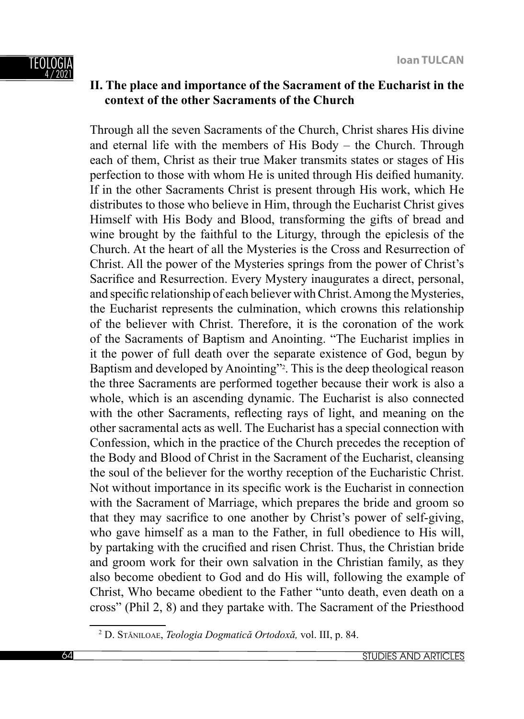

# **II. The place and importance of the Sacrament of the Eucharist in the context of the other Sacraments of the Church**

Through all the seven Sacraments of the Church, Christ shares His divine and eternal life with the members of His Body – the Church. Through each of them, Christ as their true Maker transmits states or stages of His perfection to those with whom He is united through His deified humanity. If in the other Sacraments Christ is present through His work, which He distributes to those who believe in Him, through the Eucharist Christ gives Himself with His Body and Blood, transforming the gifts of bread and wine brought by the faithful to the Liturgy, through the epiclesis of the Church. At the heart of all the Mysteries is the Cross and Resurrection of Christ. All the power of the Mysteries springs from the power of Christ's Sacrifice and Resurrection. Every Mystery inaugurates a direct, personal, and specific relationship of each believer with Christ. Among the Mysteries, the Eucharist represents the culmination, which crowns this relationship of the believer with Christ. Therefore, it is the coronation of the work of the Sacraments of Baptism and Anointing. "The Eucharist implies in it the power of full death over the separate existence of God, begun by Baptism and developed by Anointing"<sup>2</sup>. This is the deep theological reason the three Sacraments are performed together because their work is also a whole, which is an ascending dynamic. The Eucharist is also connected with the other Sacraments, reflecting rays of light, and meaning on the other sacramental acts as well. The Eucharist has a special connection with Confession, which in the practice of the Church precedes the reception of the Body and Blood of Christ in the Sacrament of the Eucharist, cleansing the soul of the believer for the worthy reception of the Eucharistic Christ. Not without importance in its specific work is the Eucharist in connection with the Sacrament of Marriage, which prepares the bride and groom so that they may sacrifice to one another by Christ's power of self-giving, who gave himself as a man to the Father, in full obedience to His will, by partaking with the crucified and risen Christ. Thus, the Christian bride and groom work for their own salvation in the Christian family, as they also become obedient to God and do His will, following the example of Christ, Who became obedient to the Father "unto death, even death on a cross" (Phil 2, 8) and they partake with. The Sacrament of the Priesthood

<sup>2</sup> D. STĂNILOAE, *Teologia Dogmatică Ortodoxă,* vol. III, p. 84.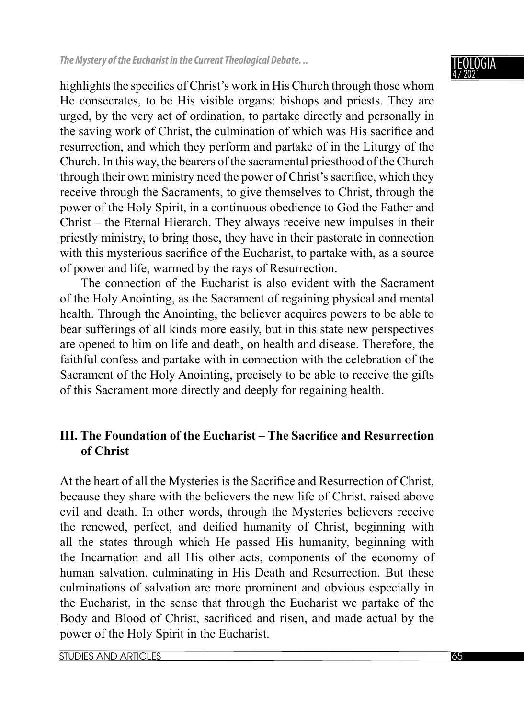highlights the specifics of Christ's work in His Church through those whom He consecrates, to be His visible organs: bishops and priests. They are urged, by the very act of ordination, to partake directly and personally in the saving work of Christ, the culmination of which was His sacrifice and resurrection, and which they perform and partake of in the Liturgy of the Church. In this way, the bearers of the sacramental priesthood of the Church through their own ministry need the power of Christ's sacrifice, which they receive through the Sacraments, to give themselves to Christ, through the power of the Holy Spirit, in a continuous obedience to God the Father and Christ – the Eternal Hierarch. They always receive new impulses in their priestly ministry, to bring those, they have in their pastorate in connection with this mysterious sacrifice of the Eucharist, to partake with, as a source of power and life, warmed by the rays of Resurrection.

The connection of the Eucharist is also evident with the Sacrament of the Holy Anointing, as the Sacrament of regaining physical and mental health. Through the Anointing, the believer acquires powers to be able to bear sufferings of all kinds more easily, but in this state new perspectives are opened to him on life and death, on health and disease. Therefore, the faithful confess and partake with in connection with the celebration of the Sacrament of the Holy Anointing, precisely to be able to receive the gifts of this Sacrament more directly and deeply for regaining health.

# **III. The Foundation of the Eucharist – The Sacrifice and Resurrection of Christ**

At the heart of all the Mysteries is the Sacrifice and Resurrection of Christ, because they share with the believers the new life of Christ, raised above evil and death. In other words, through the Mysteries believers receive the renewed, perfect, and deified humanity of Christ, beginning with all the states through which He passed His humanity, beginning with the Incarnation and all His other acts, components of the economy of human salvation. culminating in His Death and Resurrection. But these culminations of salvation are more prominent and obvious especially in the Eucharist, in the sense that through the Eucharist we partake of the Body and Blood of Christ, sacrificed and risen, and made actual by the power of the Holy Spirit in the Eucharist.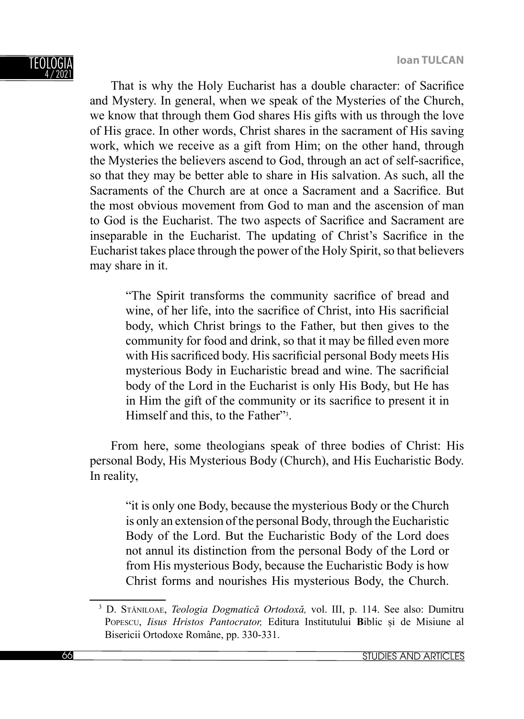

That is why the Holy Eucharist has a double character: of Sacrifice and Mystery. In general, when we speak of the Mysteries of the Church, we know that through them God shares His gifts with us through the love of His grace. In other words, Christ shares in the sacrament of His saving work, which we receive as a gift from Him; on the other hand, through the Mysteries the believers ascend to God, through an act of self-sacrifice, so that they may be better able to share in His salvation. As such, all the Sacraments of the Church are at once a Sacrament and a Sacrifice. But the most obvious movement from God to man and the ascension of man to God is the Eucharist. The two aspects of Sacrifice and Sacrament are inseparable in the Eucharist. The updating of Christ's Sacrifice in the Eucharist takes place through the power of the Holy Spirit, so that believers may share in it.

"The Spirit transforms the community sacrifice of bread and wine, of her life, into the sacrifice of Christ, into His sacrificial body, which Christ brings to the Father, but then gives to the community for food and drink, so that it may be filled even more with His sacrificed body. His sacrificial personal Body meets His mysterious Body in Eucharistic bread and wine. The sacrificial body of the Lord in the Eucharist is only His Body, but He has in Him the gift of the community or its sacrifice to present it in Himself and this, to the Father"<sup>3</sup>.

From here, some theologians speak of three bodies of Christ: His personal Body, His Mysterious Body (Church), and His Eucharistic Body. In reality,

"it is only one Body, because the mysterious Body or the Church is only an extension of the personal Body, through the Eucharistic Body of the Lord. But the Eucharistic Body of the Lord does not annul its distinction from the personal Body of the Lord or from His mysterious Body, because the Eucharistic Body is how Christ forms and nourishes His mysterious Body, the Church.

<sup>3</sup> D. STĂNILOAE, *Teologia Dogmatică Ortodoxă,* vol. III, p. 114. See also: Dumitru POPESCU, *Iisus Hristos Pantocrator,* Editura Institutului **B**iblic și de Misiune al Bisericii Ortodoxe Române, pp. 330-331.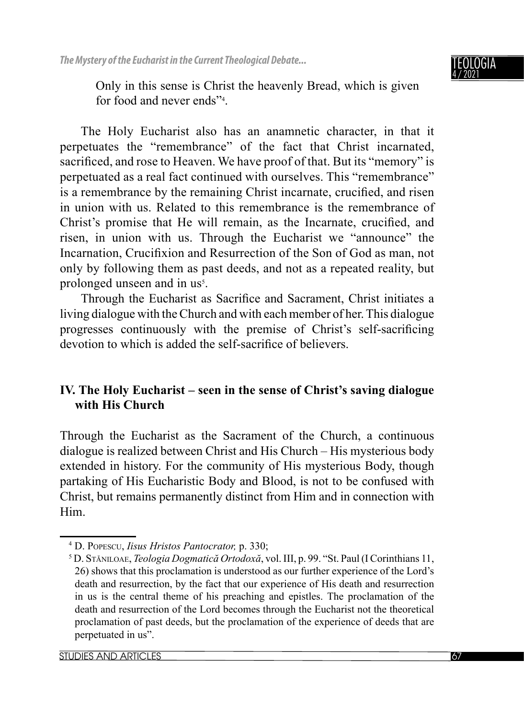

Only in this sense is Christ the heavenly Bread, which is given for food and never ends"4 .

The Holy Eucharist also has an anamnetic character, in that it perpetuates the "remembrance" of the fact that Christ incarnated, sacrificed, and rose to Heaven. We have proof of that. But its "memory" is perpetuated as a real fact continued with ourselves. This "remembrance" is a remembrance by the remaining Christ incarnate, crucified, and risen in union with us. Related to this remembrance is the remembrance of Christ's promise that He will remain, as the Incarnate, crucified, and risen, in union with us. Through the Eucharist we "announce" the Incarnation, Crucifixion and Resurrection of the Son of God as man, not only by following them as past deeds, and not as a repeated reality, but prolonged unseen and in us<sup>5</sup>.

Through the Eucharist as Sacrifice and Sacrament, Christ initiates a living dialogue with the Church and with each member of her. This dialogue progresses continuously with the premise of Christ's self-sacrificing devotion to which is added the self-sacrifice of believers.

# **IV. The Holy Eucharist – seen in the sense of Christ's saving dialogue with His Church**

Through the Eucharist as the Sacrament of the Church, a continuous dialogue is realized between Christ and His Church – His mysterious body extended in history. For the community of His mysterious Body, though partaking of His Eucharistic Body and Blood, is not to be confused with Christ, but remains permanently distinct from Him and in connection with Him.

<sup>&</sup>lt;sup>4</sup> D. Popescu, *Iisus Hristos Pantocrator*, p. 330;<br><sup>5</sup> D. Sašnu ose *Teologia Dogmatică Ortodoxă*, v

D. STĂNILOAE, *Teologia Dogmatică Ortodoxă*, vol. III, p. 99. "St. Paul (I Corinthians 11, 26) shows that this proclamation is understood as our further experience of the Lord's death and resurrection, by the fact that our experience of His death and resurrection in us is the central theme of his preaching and epistles. The proclamation of the death and resurrection of the Lord becomes through the Eucharist not the theoretical proclamation of past deeds, but the proclamation of the experience of deeds that are perpetuated in us".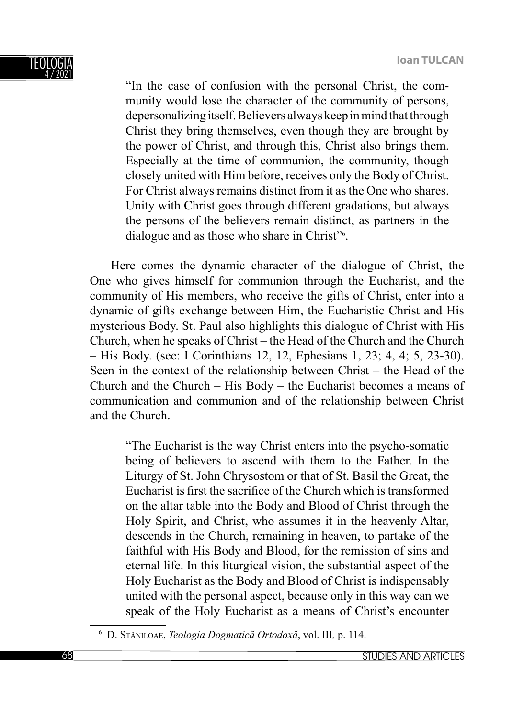

"In the case of confusion with the personal Christ, the community would lose the character of the community of persons, depersonalizing itself. Believers always keep in mind that through Christ they bring themselves, even though they are brought by the power of Christ, and through this, Christ also brings them. Especially at the time of communion, the community, though closely united with Him before, receives only the Body of Christ. For Christ always remains distinct from it as the One who shares. Unity with Christ goes through different gradations, but always the persons of the believers remain distinct, as partners in the dialogue and as those who share in Christ"<sup>6</sup>.

Here comes the dynamic character of the dialogue of Christ, the One who gives himself for communion through the Eucharist, and the community of His members, who receive the gifts of Christ, enter into a dynamic of gifts exchange between Him, the Eucharistic Christ and His mysterious Body. St. Paul also highlights this dialogue of Christ with His Church, when he speaks of Christ – the Head of the Church and the Church – His Body. (see: I Corinthians 12, 12, Ephesians 1, 23; 4, 4; 5, 23-30). Seen in the context of the relationship between Christ – the Head of the Church and the Church – His Body – the Eucharist becomes a means of communication and communion and of the relationship between Christ and the Church.

"The Eucharist is the way Christ enters into the psycho-somatic being of believers to ascend with them to the Father. In the Liturgy of St. John Chrysostom or that of St. Basil the Great, the Eucharist is first the sacrifice of the Church which is transformed on the altar table into the Body and Blood of Christ through the Holy Spirit, and Christ, who assumes it in the heavenly Altar, descends in the Church, remaining in heaven, to partake of the faithful with His Body and Blood, for the remission of sins and eternal life. In this liturgical vision, the substantial aspect of the Holy Eucharist as the Body and Blood of Christ is indispensably united with the personal aspect, because only in this way can we speak of the Holy Eucharist as a means of Christ's encounter

<sup>6</sup> D. STĂNILOAE, *Teologia Dogmatică Ortodoxă*, vol. III*,* p. 114.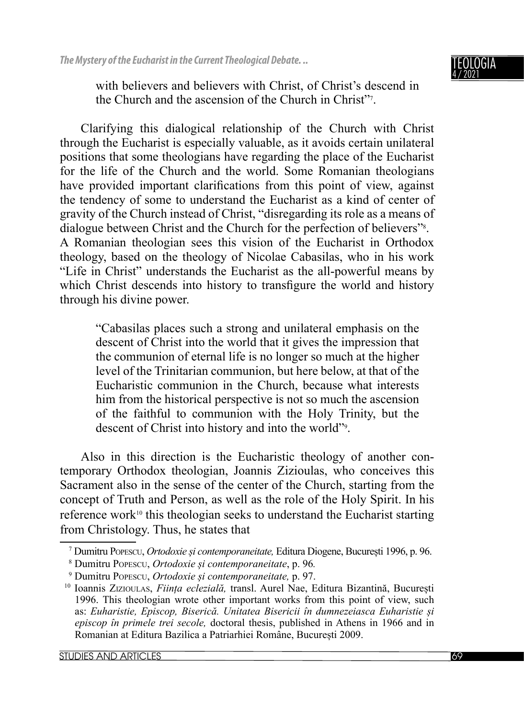

with believers and believers with Christ, of Christ's descend in the Church and the ascension of the Church in Christ"7 .

Clarifying this dialogical relationship of the Church with Christ through the Eucharist is especially valuable, as it avoids certain unilateral positions that some theologians have regarding the place of the Eucharist for the life of the Church and the world. Some Romanian theologians have provided important clarifications from this point of view, against the tendency of some to understand the Eucharist as a kind of center of gravity of the Church instead of Christ, "disregarding its role as a means of dialogue between Christ and the Church for the perfection of believers"<sup>8</sup>. A Romanian theologian sees this vision of the Eucharist in Orthodox theology, based on the theology of Nicolae Cabasilas, who in his work "Life in Christ" understands the Eucharist as the all-powerful means by which Christ descends into history to transfigure the world and history through his divine power.

"Cabasilas places such a strong and unilateral emphasis on the descent of Christ into the world that it gives the impression that the communion of eternal life is no longer so much at the higher level of the Trinitarian communion, but here below, at that of the Eucharistic communion in the Church, because what interests him from the historical perspective is not so much the ascension of the faithful to communion with the Holy Trinity, but the descent of Christ into history and into the world"9 .

Also in this direction is the Eucharistic theology of another contemporary Orthodox theologian, Joannis Zizioulas, who conceives this Sacrament also in the sense of the center of the Church, starting from the concept of Truth and Person, as well as the role of the Holy Spirit. In his reference work<sup>10</sup> this theologian seeks to understand the Eucharist starting from Christology. Thus, he states that

<sup>7</sup> Dumitru POPESCU, *Ortodoxie și contemporaneitate,* Editura Diogene, București 1996, p. 96.

<sup>8</sup> Dumitru POPESCU, *Ortodoxie și contemporaneitate*, p. 96*.*

<sup>9</sup> Dumitru POPESCU, *Ortodoxie și contemporaneitate,* p. 97.

<sup>10</sup> Ioannis ZIZIOULAS, *Ființa eclezială,* transl. Aurel Nae, Editura Bizantină, București 1996. This theologian wrote other important works from this point of view, such as: *Euharistie, Episcop, Biserică. Unitatea Bisericii în dumnezeiasca Euharistie și episcop în primele trei secole,* doctoral thesis, published in Athens in 1966 and in Romanian at Editura Bazilica a Patriarhiei Române, București 2009.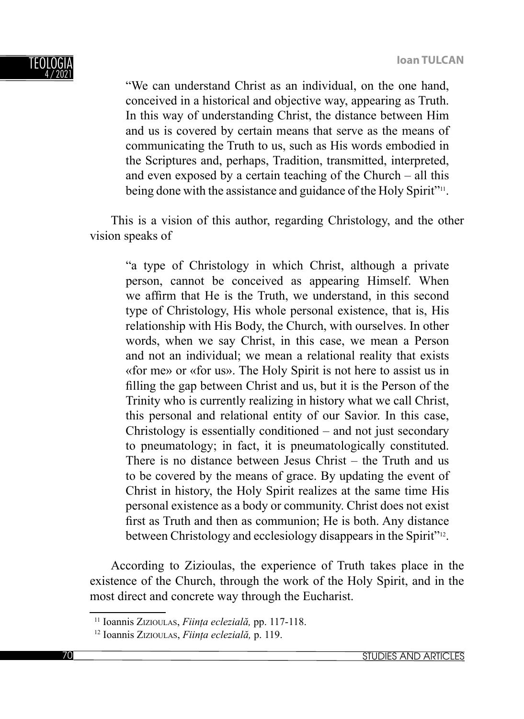

"We can understand Christ as an individual, on the one hand, conceived in a historical and objective way, appearing as Truth. In this way of understanding Christ, the distance between Him and us is covered by certain means that serve as the means of communicating the Truth to us, such as His words embodied in the Scriptures and, perhaps, Tradition, transmitted, interpreted, and even exposed by a certain teaching of the Church – all this being done with the assistance and guidance of the Holy Spirit"<sup>11</sup>.

This is a vision of this author, regarding Christology, and the other vision speaks of

"a type of Christology in which Christ, although a private person, cannot be conceived as appearing Himself. When we affirm that He is the Truth, we understand, in this second type of Christology, His whole personal existence, that is, His relationship with His Body, the Church, with ourselves. In other words, when we say Christ, in this case, we mean a Person and not an individual; we mean a relational reality that exists «for me» or «for us». The Holy Spirit is not here to assist us in filling the gap between Christ and us, but it is the Person of the Trinity who is currently realizing in history what we call Christ, this personal and relational entity of our Savior. In this case, Christology is essentially conditioned – and not just secondary to pneumatology; in fact, it is pneumatologically constituted. There is no distance between Jesus Christ – the Truth and us to be covered by the means of grace. By updating the event of Christ in history, the Holy Spirit realizes at the same time His personal existence as a body or community. Christ does not exist first as Truth and then as communion; He is both. Any distance between Christology and ecclesiology disappears in the Spirit"<sup>12</sup>.

According to Zizioulas, the experience of Truth takes place in the existence of the Church, through the work of the Holy Spirit, and in the most direct and concrete way through the Eucharist.

<sup>11</sup> Ioannis ZIZIOULAS, *Ființa eclezială,* pp. 117-118.

<sup>12</sup> Ioannis ZIZIOULAS, *Ființa eclezială,* p. 119.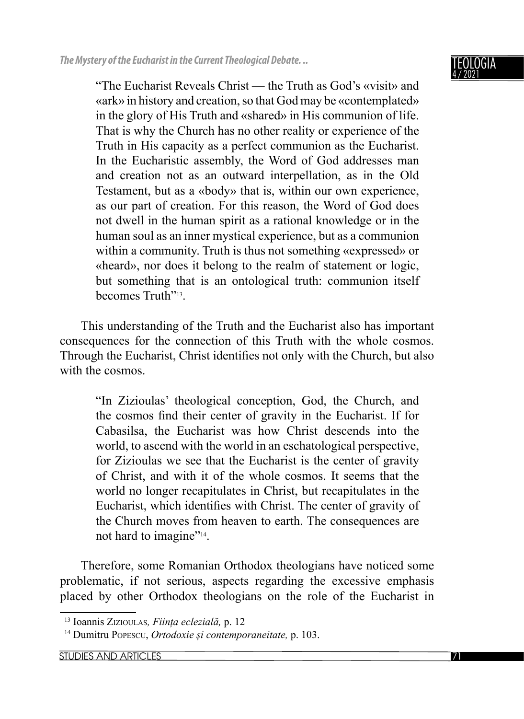"The Eucharist Reveals Christ — the Truth as God's «visit» and «ark» in history and creation, so that God may be «contemplated» in the glory of His Truth and «shared» in His communion of life. That is why the Church has no other reality or experience of the Truth in His capacity as a perfect communion as the Eucharist. In the Eucharistic assembly, the Word of God addresses man and creation not as an outward interpellation, as in the Old Testament, but as a «body» that is, within our own experience, as our part of creation. For this reason, the Word of God does not dwell in the human spirit as a rational knowledge or in the human soul as an inner mystical experience, but as a communion within a community. Truth is thus not something «expressed» or «heard», nor does it belong to the realm of statement or logic, but something that is an ontological truth: communion itself becomes Truth"<sup>13</sup>.

This understanding of the Truth and the Eucharist also has important consequences for the connection of this Truth with the whole cosmos. Through the Eucharist, Christ identifies not only with the Church, but also with the cosmos.

"In Zizioulas' theological conception, God, the Church, and the cosmos find their center of gravity in the Eucharist. If for Cabasilsa, the Eucharist was how Christ descends into the world, to ascend with the world in an eschatological perspective, for Zizioulas we see that the Eucharist is the center of gravity of Christ, and with it of the whole cosmos. It seems that the world no longer recapitulates in Christ, but recapitulates in the Eucharist, which identifies with Christ. The center of gravity of the Church moves from heaven to earth. The consequences are not hard to imagine"<sup>14</sup>.

Therefore, some Romanian Orthodox theologians have noticed some problematic, if not serious, aspects regarding the excessive emphasis placed by other Orthodox theologians on the role of the Eucharist in

<sup>13</sup> Ioannis ZIZIOULAS*, Ființa eclezială,* p. 12

<sup>14</sup> Dumitru POPESCU, *Ortodoxie și contemporaneitate,* p. 103.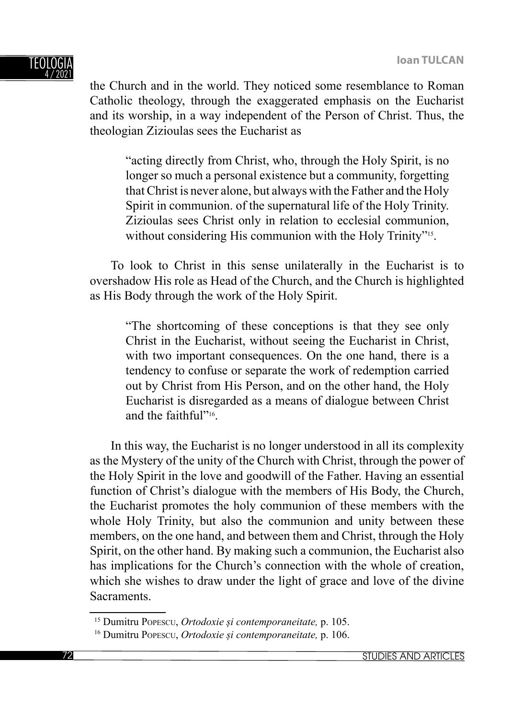

the Church and in the world. They noticed some resemblance to Roman Catholic theology, through the exaggerated emphasis on the Eucharist and its worship, in a way independent of the Person of Christ. Thus, the theologian Zizioulas sees the Eucharist as

"acting directly from Christ, who, through the Holy Spirit, is no longer so much a personal existence but a community, forgetting that Christ is never alone, but always with the Father and the Holy Spirit in communion. of the supernatural life of the Holy Trinity. Zizioulas sees Christ only in relation to ecclesial communion, without considering His communion with the Holy Trinity"<sup>15</sup>.

To look to Christ in this sense unilaterally in the Eucharist is to overshadow His role as Head of the Church, and the Church is highlighted as His Body through the work of the Holy Spirit.

"The shortcoming of these conceptions is that they see only Christ in the Eucharist, without seeing the Eucharist in Christ, with two important consequences. On the one hand, there is a tendency to confuse or separate the work of redemption carried out by Christ from His Person, and on the other hand, the Holy Eucharist is disregarded as a means of dialogue between Christ and the faithful"16.

In this way, the Eucharist is no longer understood in all its complexity as the Mystery of the unity of the Church with Christ, through the power of the Holy Spirit in the love and goodwill of the Father. Having an essential function of Christ's dialogue with the members of His Body, the Church, the Eucharist promotes the holy communion of these members with the whole Holy Trinity, but also the communion and unity between these members, on the one hand, and between them and Christ, through the Holy Spirit, on the other hand. By making such a communion, the Eucharist also has implications for the Church's connection with the whole of creation, which she wishes to draw under the light of grace and love of the divine Sacraments.

<sup>15</sup> Dumitru POPESCU, *Ortodoxie și contemporaneitate,* p. 105.

<sup>16</sup> Dumitru POPESCU, *Ortodoxie și contemporaneitate,* p. 106.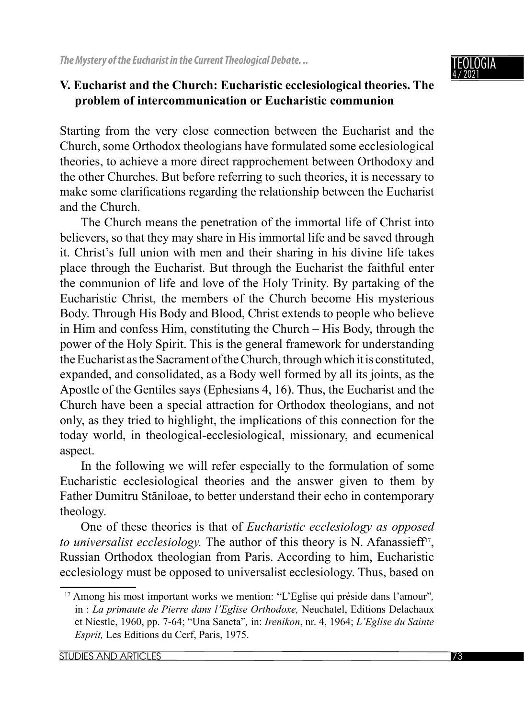

## **V. Eucharist and the Church: Eucharistic ecclesiological theories. The problem of intercommunication or Eucharistic communion**

Starting from the very close connection between the Eucharist and the Church, some Orthodox theologians have formulated some ecclesiological theories, to achieve a more direct rapprochement between Orthodoxy and the other Churches. But before referring to such theories, it is necessary to make some clarifications regarding the relationship between the Eucharist and the Church.

The Church means the penetration of the immortal life of Christ into believers, so that they may share in His immortal life and be saved through it. Christ's full union with men and their sharing in his divine life takes place through the Eucharist. But through the Eucharist the faithful enter the communion of life and love of the Holy Trinity. By partaking of the Eucharistic Christ, the members of the Church become His mysterious Body. Through His Body and Blood, Christ extends to people who believe in Him and confess Him, constituting the Church – His Body, through the power of the Holy Spirit. This is the general framework for understanding the Eucharist as the Sacrament of the Church, through which it is constituted, expanded, and consolidated, as a Body well formed by all its joints, as the Apostle of the Gentiles says (Ephesians 4, 16). Thus, the Eucharist and the Church have been a special attraction for Orthodox theologians, and not only, as they tried to highlight, the implications of this connection for the today world, in theological-ecclesiological, missionary, and ecumenical aspect.

In the following we will refer especially to the formulation of some Eucharistic ecclesiological theories and the answer given to them by Father Dumitru Stăniloae, to better understand their echo in contemporary theology.

One of these theories is that of *Eucharistic ecclesiology as opposed to universalist ecclesiology.* The author of this theory is N. Afanassieff<sup>17</sup>, Russian Orthodox theologian from Paris. According to him, Eucharistic ecclesiology must be opposed to universalist ecclesiology. Thus, based on

<sup>17</sup> Among his most important works we mention: "L'Eglise qui préside dans l'amour"*,*  in : *La primaute de Pierre dans l'Eglise Orthodoxe,* Neuchatel, Editions Delachaux et Niestle, 1960, pp. 7-64; "Una Sancta"*,* in: *Irenikon*, nr. 4, 1964; *L'Eglise du Sainte Esprit,* Les Editions du Cerf, Paris, 1975.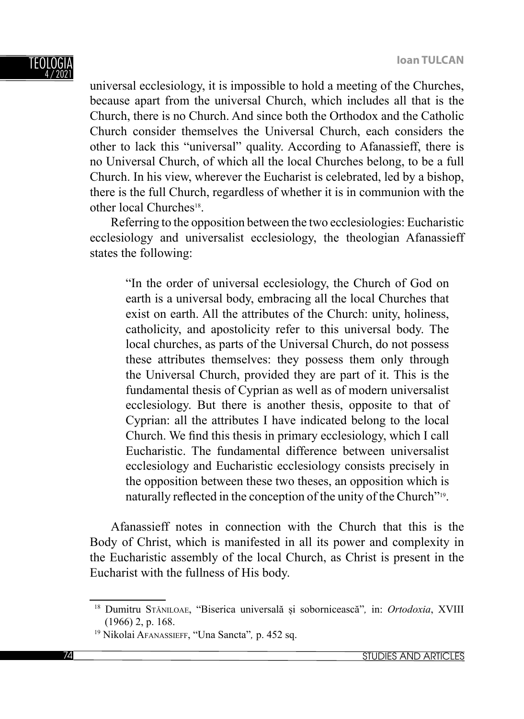universal ecclesiology, it is impossible to hold a meeting of the Churches, because apart from the universal Church, which includes all that is the Church, there is no Church. And since both the Orthodox and the Catholic Church consider themselves the Universal Church, each considers the other to lack this "universal" quality. According to Afanassieff, there is no Universal Church, of which all the local Churches belong, to be a full Church. In his view, wherever the Eucharist is celebrated, led by a bishop, there is the full Church, regardless of whether it is in communion with the other local Churches<sup>18</sup>.

Referring to the opposition between the two ecclesiologies: Eucharistic ecclesiology and universalist ecclesiology, the theologian Afanassieff states the following:

"In the order of universal ecclesiology, the Church of God on earth is a universal body, embracing all the local Churches that exist on earth. All the attributes of the Church: unity, holiness, catholicity, and apostolicity refer to this universal body. The local churches, as parts of the Universal Church, do not possess these attributes themselves: they possess them only through the Universal Church, provided they are part of it. This is the fundamental thesis of Cyprian as well as of modern universalist ecclesiology. But there is another thesis, opposite to that of Cyprian: all the attributes I have indicated belong to the local Church. We find this thesis in primary ecclesiology, which I call Eucharistic. The fundamental difference between universalist ecclesiology and Eucharistic ecclesiology consists precisely in the opposition between these two theses, an opposition which is naturally reflected in the conception of the unity of the Church"<sup>19</sup>.

Afanassieff notes in connection with the Church that this is the Body of Christ, which is manifested in all its power and complexity in the Eucharistic assembly of the local Church, as Christ is present in the Eucharist with the fullness of His body.

<sup>18</sup> Dumitru STĂNILOAE, "Biserica universală și sobornicească"*,* in: *Ortodoxia*, XVIII (1966) 2, p. 168.

<sup>19</sup> Nikolai AFANASSIEFF, "Una Sancta"*,* p. 452 sq.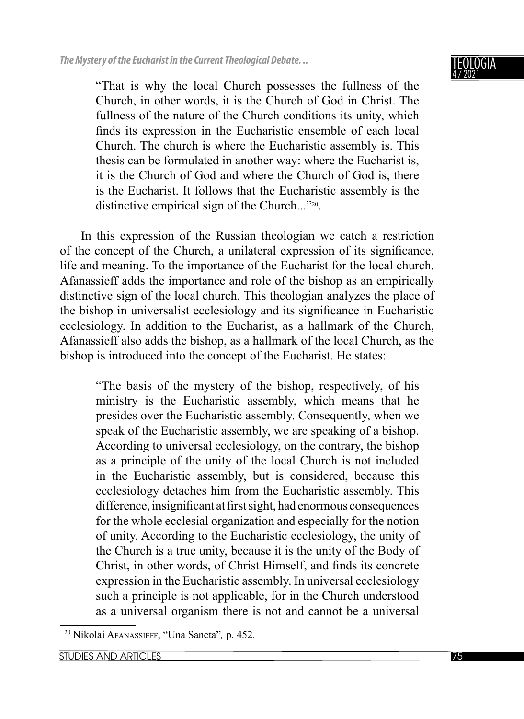#### NGIA 4 / 2021

"That is why the local Church possesses the fullness of the Church, in other words, it is the Church of God in Christ. The fullness of the nature of the Church conditions its unity, which finds its expression in the Eucharistic ensemble of each local Church. The church is where the Eucharistic assembly is. This thesis can be formulated in another way: where the Eucharist is, it is the Church of God and where the Church of God is, there is the Eucharist. It follows that the Eucharistic assembly is the distinctive empirical sign of the Church..."20.

In this expression of the Russian theologian we catch a restriction of the concept of the Church, a unilateral expression of its significance, life and meaning. To the importance of the Eucharist for the local church, Afanassieff adds the importance and role of the bishop as an empirically distinctive sign of the local church. This theologian analyzes the place of the bishop in universalist ecclesiology and its significance in Eucharistic ecclesiology. In addition to the Eucharist, as a hallmark of the Church, Afanassieff also adds the bishop, as a hallmark of the local Church, as the bishop is introduced into the concept of the Eucharist. He states:

"The basis of the mystery of the bishop, respectively, of his ministry is the Eucharistic assembly, which means that he presides over the Eucharistic assembly. Consequently, when we speak of the Eucharistic assembly, we are speaking of a bishop. According to universal ecclesiology, on the contrary, the bishop as a principle of the unity of the local Church is not included in the Eucharistic assembly, but is considered, because this ecclesiology detaches him from the Eucharistic assembly. This difference, insignificant at first sight, had enormous consequences for the whole ecclesial organization and especially for the notion of unity. According to the Eucharistic ecclesiology, the unity of the Church is a true unity, because it is the unity of the Body of Christ, in other words, of Christ Himself, and finds its concrete expression in the Eucharistic assembly. In universal ecclesiology such a principle is not applicable, for in the Church understood as a universal organism there is not and cannot be a universal

<sup>20</sup> Nikolai AFANASSIEFF, "Una Sancta"*,* p. 452*.*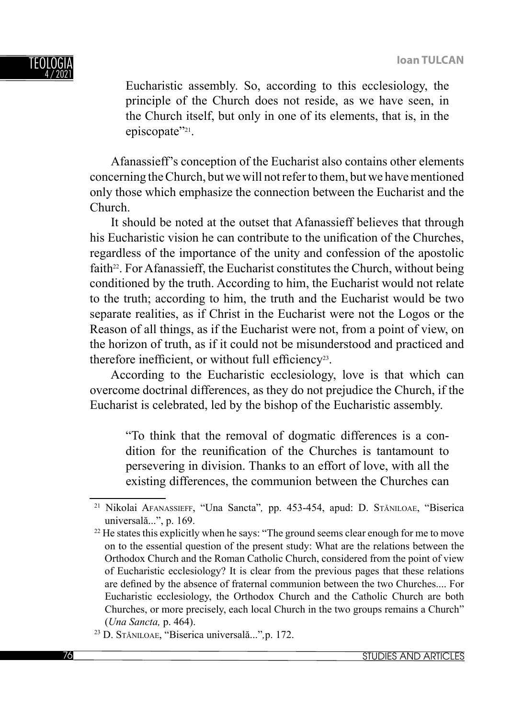

Eucharistic assembly. So, according to this ecclesiology, the principle of the Church does not reside, as we have seen, in the Church itself, but only in one of its elements, that is, in the episcopate"<sup>21</sup>.

Afanassieff's conception of the Eucharist also contains other elements concerning the Church, but we will not refer to them, but we have mentioned only those which emphasize the connection between the Eucharist and the Church.

It should be noted at the outset that Afanassieff believes that through his Eucharistic vision he can contribute to the unification of the Churches, regardless of the importance of the unity and confession of the apostolic faith $2^2$ . For Afanassieff, the Eucharist constitutes the Church, without being conditioned by the truth. According to him, the Eucharist would not relate to the truth; according to him, the truth and the Eucharist would be two separate realities, as if Christ in the Eucharist were not the Logos or the Reason of all things, as if the Eucharist were not, from a point of view, on the horizon of truth, as if it could not be misunderstood and practiced and therefore inefficient, or without full efficiency<sup>23</sup>.

According to the Eucharistic ecclesiology, love is that which can overcome doctrinal differences, as they do not prejudice the Church, if the Eucharist is celebrated, led by the bishop of the Eucharistic assembly.

"To think that the removal of dogmatic differences is a condition for the reunification of the Churches is tantamount to persevering in division. Thanks to an effort of love, with all the existing differences, the communion between the Churches can

<sup>21</sup> Nikolai AFANASSIEFF, "Una Sancta"*,* pp. 453-454, apud: D. STĂNILOAE, "Biserica universală...", p. 169.  $22$  He states this explicitly when he says: "The ground seems clear enough for me to move

on to the essential question of the present study: What are the relations between the Orthodox Church and the Roman Catholic Church, considered from the point of view of Eucharistic ecclesiology? It is clear from the previous pages that these relations are defined by the absence of fraternal communion between the two Churches.... For Eucharistic ecclesiology, the Orthodox Church and the Catholic Church are both Churches, or more precisely, each local Church in the two groups remains a Church" (*Una Sancta,* p. 464).

<sup>23</sup> D. STĂNILOAE, "Biserica universală..."*,*p. 172.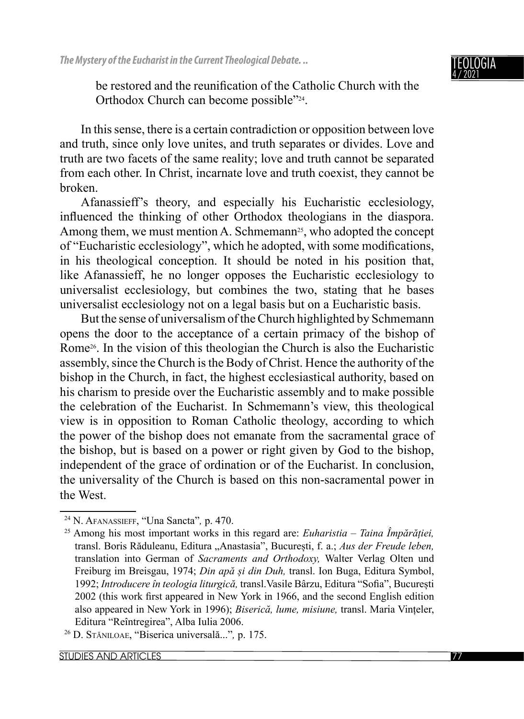#### TEOLOGIA 4 / 2021

be restored and the reunification of the Catholic Church with the Orthodox Church can become possible"24.

In this sense, there is a certain contradiction or opposition between love and truth, since only love unites, and truth separates or divides. Love and truth are two facets of the same reality; love and truth cannot be separated from each other. In Christ, incarnate love and truth coexist, they cannot be broken.

Afanassieff's theory, and especially his Eucharistic ecclesiology, influenced the thinking of other Orthodox theologians in the diaspora. Among them, we must mention A. Schmemann<sup>25</sup>, who adopted the concept of "Eucharistic ecclesiology", which he adopted, with some modifications, in his theological conception. It should be noted in his position that, like Afanassieff, he no longer opposes the Eucharistic ecclesiology to universalist ecclesiology, but combines the two, stating that he bases universalist ecclesiology not on a legal basis but on a Eucharistic basis.

But the sense of universalism of the Church highlighted by Schmemann opens the door to the acceptance of a certain primacy of the bishop of Rome26. In the vision of this theologian the Church is also the Eucharistic assembly, since the Church is the Body of Christ. Hence the authority of the bishop in the Church, in fact, the highest ecclesiastical authority, based on his charism to preside over the Eucharistic assembly and to make possible the celebration of the Eucharist. In Schmemann's view, this theological view is in opposition to Roman Catholic theology, according to which the power of the bishop does not emanate from the sacramental grace of the bishop, but is based on a power or right given by God to the bishop, independent of the grace of ordination or of the Eucharist. In conclusion, the universality of the Church is based on this non-sacramental power in the West.

<sup>24</sup> N. AFANASSIEFF, "Una Sancta"*,* p. 470.

<sup>25</sup> Among his most important works in this regard are: *Euharistia – Taina Împărăției,* transl. Boris Răduleanu, Editura "Anastasia", București, f. a.; Aus der Freude leben, translation into German of *Sacraments and Orthodoxy,* Walter Verlag Olten und Freiburg im Breisgau, 1974; *Din apă și din Duh,* transl. Ion Buga, Editura Symbol, 1992; *Introducere în teologia liturgică*, transl. Vasile Bârzu, Editura "Sofia", București 2002 (this work first appeared in New York in 1966, and the second English edition also appeared in New York in 1996); *Biserică, lume, misiune,* transl. Maria Vințeler, Editura "Reîntregirea", Alba Iulia 2006. 26 D. STĂNILOAE, "Biserica universală..."*,* p. 175.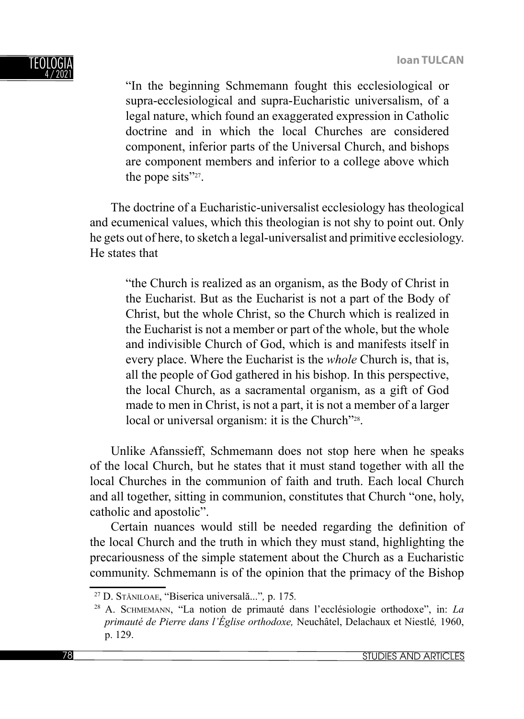

"In the beginning Schmemann fought this ecclesiological or supra-ecclesiological and supra-Eucharistic universalism, of a legal nature, which found an exaggerated expression in Catholic doctrine and in which the local Churches are considered component, inferior parts of the Universal Church, and bishops are component members and inferior to a college above which the pope sits"<sup>27</sup>.

The doctrine of a Eucharistic-universalist ecclesiology has theological and ecumenical values, which this theologian is not shy to point out. Only he gets out of here, to sketch a legal-universalist and primitive ecclesiology. He states that

"the Church is realized as an organism, as the Body of Christ in the Eucharist. But as the Eucharist is not a part of the Body of Christ, but the whole Christ, so the Church which is realized in the Eucharist is not a member or part of the whole, but the whole and indivisible Church of God, which is and manifests itself in every place. Where the Eucharist is the *whole* Church is, that is, all the people of God gathered in his bishop. In this perspective, the local Church, as a sacramental organism, as a gift of God made to men in Christ, is not a part, it is not a member of a larger local or universal organism: it is the Church"<sup>28</sup>.

Unlike Afanssieff, Schmemann does not stop here when he speaks of the local Church, but he states that it must stand together with all the local Churches in the communion of faith and truth. Each local Church and all together, sitting in communion, constitutes that Church "one, holy, catholic and apostolic".

Certain nuances would still be needed regarding the definition of the local Church and the truth in which they must stand, highlighting the precariousness of the simple statement about the Church as a Eucharistic community. Schmemann is of the opinion that the primacy of the Bishop

<sup>27</sup> D. STĂNILOAE, "Biserica universală..."*,* p. 175*.*

<sup>28</sup> A. SCHMEMANN, "La notion de primauté dans l'ecclésiologie orthodoxe", in: *La primauté de Pierre dans l'Église orthodoxe,* Neuchâtel, Delachaux et Niestlé*,* 1960, p. 129.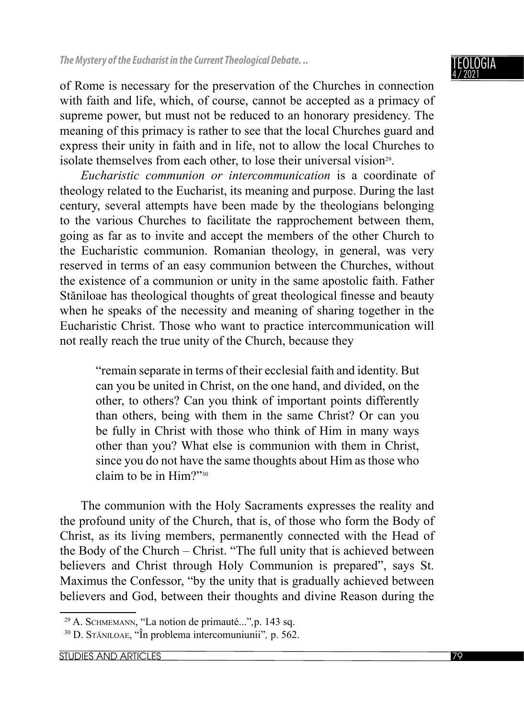of Rome is necessary for the preservation of the Churches in connection with faith and life, which, of course, cannot be accepted as a primacy of supreme power, but must not be reduced to an honorary presidency. The meaning of this primacy is rather to see that the local Churches guard and express their unity in faith and in life, not to allow the local Churches to isolate themselves from each other, to lose their universal vision<sup>29</sup>.

*Eucharistic communion or intercommunication* is a coordinate of theology related to the Eucharist, its meaning and purpose. During the last century, several attempts have been made by the theologians belonging to the various Churches to facilitate the rapprochement between them, going as far as to invite and accept the members of the other Church to the Eucharistic communion. Romanian theology, in general, was very reserved in terms of an easy communion between the Churches, without the existence of a communion or unity in the same apostolic faith. Father Stăniloae has theological thoughts of great theological finesse and beauty when he speaks of the necessity and meaning of sharing together in the Eucharistic Christ. Those who want to practice intercommunication will not really reach the true unity of the Church, because they

"remain separate in terms of their ecclesial faith and identity. But can you be united in Christ, on the one hand, and divided, on the other, to others? Can you think of important points differently than others, being with them in the same Christ? Or can you be fully in Christ with those who think of Him in many ways other than you? What else is communion with them in Christ, since you do not have the same thoughts about Him as those who claim to be in Him?"30

The communion with the Holy Sacraments expresses the reality and the profound unity of the Church, that is, of those who form the Body of Christ, as its living members, permanently connected with the Head of the Body of the Church – Christ. "The full unity that is achieved between believers and Christ through Holy Communion is prepared", says St. Maximus the Confessor, "by the unity that is gradually achieved between believers and God, between their thoughts and divine Reason during the

<sup>29</sup> A. SCHMEMANN, "La notion de primauté..."*,*p. 143 sq.

<sup>30</sup> D. STĂNILOAE, "În problema intercomuniunii"*,* p. 562.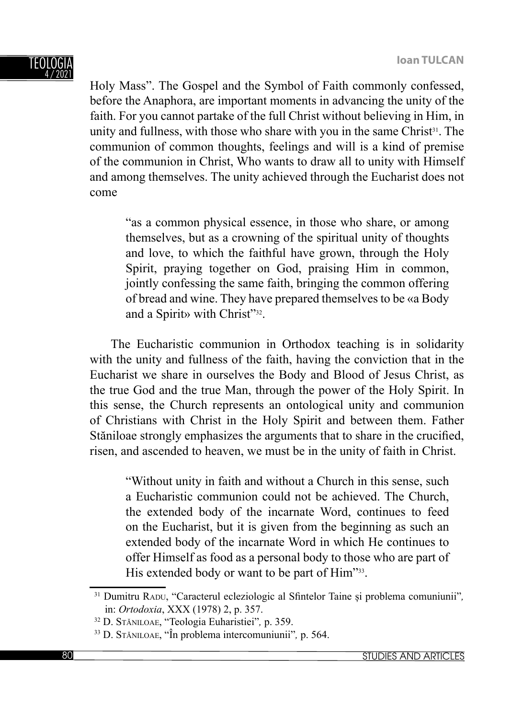

Holy Mass". The Gospel and the Symbol of Faith commonly confessed, before the Anaphora, are important moments in advancing the unity of the faith. For you cannot partake of the full Christ without believing in Him, in unity and fullness, with those who share with you in the same Christ<sup>31</sup>. The communion of common thoughts, feelings and will is a kind of premise of the communion in Christ, Who wants to draw all to unity with Himself and among themselves. The unity achieved through the Eucharist does not come

"as a common physical essence, in those who share, or among themselves, but as a crowning of the spiritual unity of thoughts and love, to which the faithful have grown, through the Holy Spirit, praying together on God, praising Him in common, jointly confessing the same faith, bringing the common offering of bread and wine. They have prepared themselves to be «a Body and a Spirit» with Christ"32.

The Eucharistic communion in Orthodox teaching is in solidarity with the unity and fullness of the faith, having the conviction that in the Eucharist we share in ourselves the Body and Blood of Jesus Christ, as the true God and the true Man, through the power of the Holy Spirit. In this sense, the Church represents an ontological unity and communion of Christians with Christ in the Holy Spirit and between them. Father Stăniloae strongly emphasizes the arguments that to share in the crucified, risen, and ascended to heaven, we must be in the unity of faith in Christ.

"Without unity in faith and without a Church in this sense, such a Eucharistic communion could not be achieved. The Church, the extended body of the incarnate Word, continues to feed on the Eucharist, but it is given from the beginning as such an extended body of the incarnate Word in which He continues to offer Himself as food as a personal body to those who are part of His extended body or want to be part of Him"33.

<sup>&</sup>lt;sup>31</sup> Dumitru RADU, "Caracterul ecleziologic al Sfintelor Taine și problema comuniunii", in: *Ortodoxia*, XXX (1978) 2, p. 357.

<sup>32</sup> D. STĂNILOAE, "Teologia Euharistiei"*,* p. 359.

<sup>33</sup> D. STĂNILOAE, "În problema intercomuniunii"*,* p. 564.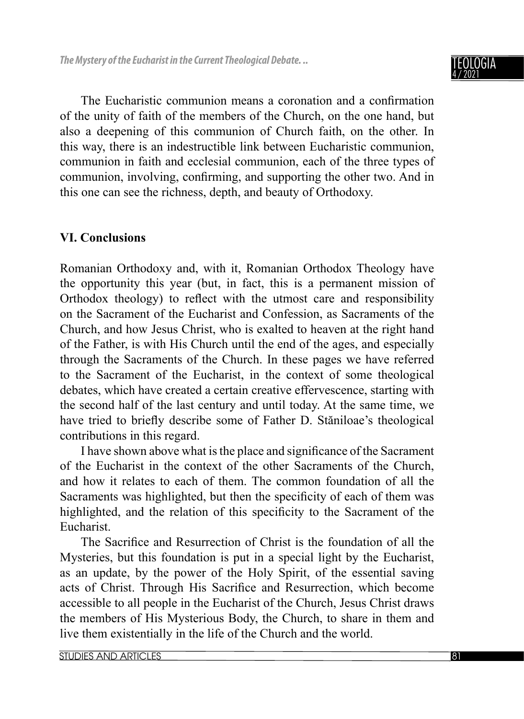#### TEOLOGIA 4 / 2021

The Eucharistic communion means a coronation and a confirmation of the unity of faith of the members of the Church, on the one hand, but also a deepening of this communion of Church faith, on the other. In this way, there is an indestructible link between Eucharistic communion, communion in faith and ecclesial communion, each of the three types of communion, involving, confirming, and supporting the other two. And in this one can see the richness, depth, and beauty of Orthodoxy.

## **VI. Conclusions**

Romanian Orthodoxy and, with it, Romanian Orthodox Theology have the opportunity this year (but, in fact, this is a permanent mission of Orthodox theology) to reflect with the utmost care and responsibility on the Sacrament of the Eucharist and Confession, as Sacraments of the Church, and how Jesus Christ, who is exalted to heaven at the right hand of the Father, is with His Church until the end of the ages, and especially through the Sacraments of the Church. In these pages we have referred to the Sacrament of the Eucharist, in the context of some theological debates, which have created a certain creative effervescence, starting with the second half of the last century and until today. At the same time, we have tried to briefly describe some of Father D. Stăniloae's theological contributions in this regard.

I have shown above what is the place and significance of the Sacrament of the Eucharist in the context of the other Sacraments of the Church, and how it relates to each of them. The common foundation of all the Sacraments was highlighted, but then the specificity of each of them was highlighted, and the relation of this specificity to the Sacrament of the Eucharist.

The Sacrifice and Resurrection of Christ is the foundation of all the Mysteries, but this foundation is put in a special light by the Eucharist, as an update, by the power of the Holy Spirit, of the essential saving acts of Christ. Through His Sacrifice and Resurrection, which become accessible to all people in the Eucharist of the Church, Jesus Christ draws the members of His Mysterious Body, the Church, to share in them and live them existentially in the life of the Church and the world.